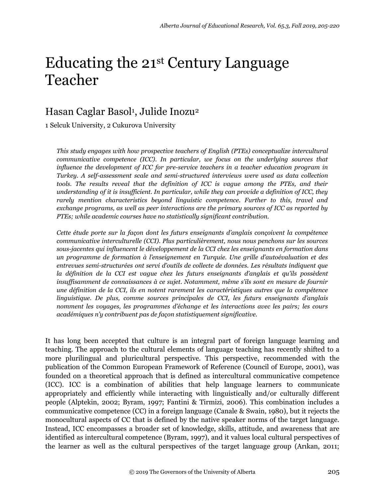# Educating the 21st Century Language Teacher

# Hasan Caglar Basol<sup>1</sup>, Julide Inozu<sup>2</sup>

1 Selcuk University, 2 Cukurova University

*This study engages with how prospective teachers of English (PTEs) conceptualize intercultural communicative competence (ICC). In particular, we focus on the underlying sources that influence the development of ICC for pre-service teachers in a teacher education program in Turkey. A self-assessment scale and semi-structured interviews were used as data collection tools. The results reveal that the definition of ICC is vague among the PTEs, and their understanding of it is insufficient. In particular, while they can provide a definition of ICC, they rarely mention characteristics beyond linguistic competence. Further to this, travel and exchange programs, as well as peer interactions are the primary sources of ICC as reported by PTEs; while academic courses have no statistically significant contribution.*

*Cette étude porte sur la façon dont les futurs enseignants d'anglais conçoivent la compétence communicative interculturelle (CCI). Plus particulièrement, nous nous penchons sur les sources sous-jacentes qui influencent le développement de la CCI chez les enseignants en formation dans un programme de formation à l'enseignement en Turquie. Une grille d'autoévaluation et des entrevues semi-structurées ont servi d'outils de collecte de données. Les résultats indiquent que la définition de la CCI est vague chez les futurs enseignants d'anglais et qu'ils possèdent insuffisamment de connaissances à ce sujet. Notamment, même s'ils sont en mesure de fournir une définition de la CCI, ils en notent rarement les caractéristiques autres que la compétence linguistique. De plus, comme sources principales de CCI, les futurs enseignants d'anglais nomment les voyages, les programmes d'échange et les interactions avec les pairs; les cours académiques n'y contribuent pas de façon statistiquement significative.* 

It has long been accepted that culture is an integral part of foreign language learning and teaching. The approach to the cultural elements of language teaching has recently shifted to a more plurilingual and pluricultural perspective. This perspective, recommended with the publication of the Common European Framework of Reference (Council of Europe, 2001), was founded on a theoretical approach that is defined as intercultural communicative competence (ICC). ICC is a combination of abilities that help language learners to communicate appropriately and efficiently while interacting with linguistically and/or culturally different people (Alptekin, 2002; Byram, 1997; Fantini & Tirmizi, 2006). This combination includes a communicative competence (CC) in a foreign language (Canale & Swain, 1980), but it rejects the monocultural aspects of CC that is defined by the native speaker norms of the target language. Instead, ICC encompasses a broader set of knowledge, skills, attitude, and awareness that are identified as intercultural competence (Byram, 1997), and it values local cultural perspectives of the learner as well as the cultural perspectives of the target language group (Arıkan, 2011;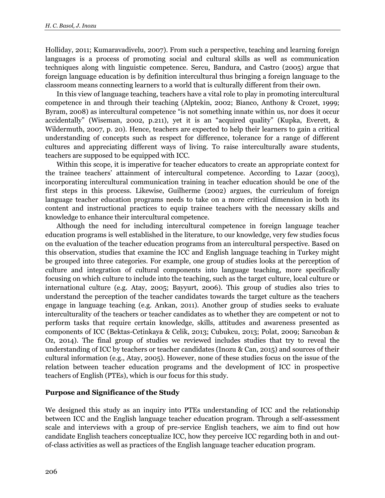Holliday, 2011; Kumaravadivelu, 2007). From such a perspective, teaching and learning foreign languages is a process of promoting social and cultural skills as well as communication techniques along with linguistic competence. Sercu, Bandura, and Castro (2005) argue that foreign language education is by definition intercultural thus bringing a foreign language to the classroom means connecting learners to a world that is culturally different from their own.

In this view of language teaching, teachers have a vital role to play in promoting intercultural competence in and through their teaching (Alptekin, 2002; Bianco, Anthony & Crozet, 1999; Byram, 2008) as intercultural competence "is not something innate within us, nor does it occur accidentally" (Wiseman, 2002, p.211), yet it is an "acquired quality" (Kupka, Everett, & Wildermuth, 2007, p. 20). Hence, teachers are expected to help their learners to gain a critical understanding of concepts such as respect for difference, tolerance for a range of different cultures and appreciating different ways of living. To raise interculturally aware students, teachers are supposed to be equipped with ICC.

Within this scope, it is imperative for teacher educators to create an appropriate context for the trainee teachers' attainment of intercultural competence. According to Lazar (2003), incorporating intercultural communication training in teacher education should be one of the first steps in this process. Likewise, Guilherme (2002) argues, the curriculum of foreign language teacher education programs needs to take on a more critical dimension in both its content and instructional practices to equip trainee teachers with the necessary skills and knowledge to enhance their intercultural competence.

Although the need for including intercultural competence in foreign language teacher education programs is well established in the literature, to our knowledge, very few studies focus on the evaluation of the teacher education programs from an intercultural perspective. Based on this observation, studies that examine the ICC and English language teaching in Turkey might be grouped into three categories. For example, one group of studies looks at the perception of culture and integration of cultural components into language teaching, more specifically focusing on which culture to include into the teaching, such as the target culture, local culture or international culture (e.g. Atay, 2005; Bayyurt, 2006). This group of studies also tries to understand the perception of the teacher candidates towards the target culture as the teachers engage in language teaching (e.g. Arıkan, 2011). Another group of studies seeks to evaluate interculturality of the teachers or teacher candidates as to whether they are competent or not to perform tasks that require certain knowledge, skills, attitudes and awareness presented as components of ICC (Bektas-Cetinkaya & Celik, 2013; Cubukcu, 2013; Polat, 2009; Sarıcoban & Oz, 2014). The final group of studies we reviewed includes studies that try to reveal the understanding of ICC by teachers or teacher candidates (Inozu & Can, 2015) and sources of their cultural information (e.g., Atay, 2005). However, none of these studies focus on the issue of the relation between teacher education programs and the development of ICC in prospective teachers of English (PTEs), which is our focus for this study.

#### **Purpose and Significance of the Study**

We designed this study as an inquiry into PTEs understanding of ICC and the relationship between ICC and the English language teacher education program. Through a self-assessment scale and interviews with a group of pre-service English teachers, we aim to find out how candidate English teachers conceptualize ICC, how they perceive ICC regarding both in and outof-class activities as well as practices of the English language teacher education program.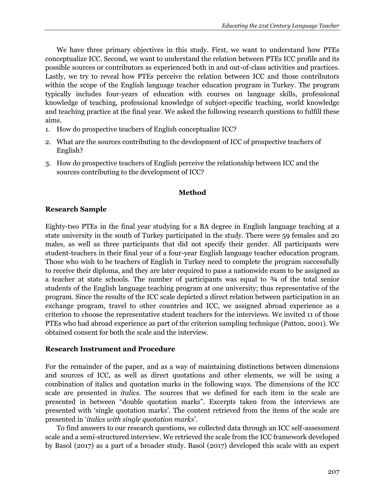We have three primary objectives in this study. First, we want to understand how PTEs conceptualize ICC. Second, we want to understand the relation between PTEs ICC profile and its possible sources or contributors as experienced both in and out-of-class activities and practices. Lastly, we try to reveal how PTEs perceive the relation between ICC and those contributors within the scope of the English language teacher education program in Turkey. The program typically includes four-years of education with courses on language skills, professional knowledge of teaching, professional knowledge of subject-specific teaching, world knowledge and teaching practice at the final year. We asked the following research questions to fulfill these aims.

- 1. How do prospective teachers of English conceptualize ICC?
- 2. What are the sources contributing to the development of ICC of prospective teachers of English?
- 3. How do prospective teachers of English perceive the relationship between ICC and the sources contributing to the development of ICC?

#### **Method**

#### **Research Sample**

Eighty-two PTEs in the final year studying for a BA degree in English language teaching at a state university in the south of Turkey participated in the study. There were 59 females and 20 males, as well as three participants that did not specify their gender. All participants were student-teachers in their final year of a four-year English language teacher education program. Those who wish to be teachers of English in Turkey need to complete the program successfully to receive their diploma, and they are later required to pass a nationwide exam to be assigned as a teacher at state schools. The number of participants was equal to ¾ of the total senior students of the English language teaching program at one university; thus representative of the program. Since the results of the ICC scale depicted a direct relation between participation in an exchange program, travel to other countries and ICC, we assigned abroad experience as a criterion to choose the representative student teachers for the interviews. We invited 11 of those PTEs who had abroad experience as part of the criterion sampling technique (Patton, 2001). We obtained consent for both the scale and the interview.

#### **Research Instrument and Procedure**

For the remainder of the paper, and as a way of maintaining distinctions between dimensions and sources of ICC, as well as direct quotations and other elements, we will be using a combination of italics and quotation marks in the following ways. The dimensions of the ICC scale are presented in *italics*. The sources that we defined for each item in the scale are presented in between "double quotation marks". Excerpts taken from the interviews are presented with 'single quotation marks'. The content retrieved from the items of the scale are presented in '*italics with single quotation marks*'.

To find answers to our research questions, we collected data through an ICC self-assessment scale and a semi-structured interview. We retrieved the scale from the ICC framework developed by Basol (2017) as a part of a broader study. Basol (2017) developed this scale with an expert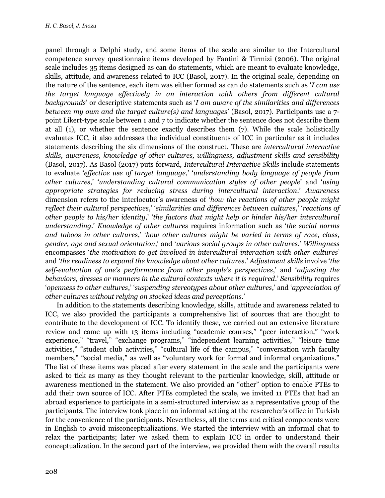panel through a Delphi study, and some items of the scale are similar to the Intercultural competence survey questionnaire items developed by Fantini & Tirmizi (2006). The original scale includes 35 items designed as can do statements, which are meant to evaluate knowledge, skills, attitude, and awareness related to ICC (Basol, 2017). In the original scale, depending on the nature of the sentence, each item was either formed as can do statements such as '*I can use the target language effectively in an interaction with others from different cultural backgrounds*' or descriptive statements such as '*I am aware of the similarities and differences between my own and the target culture(s) and languages*' (Basol, 2017). Participants use a 7 point Likert-type scale between 1 and 7 to indicate whether the sentence does not describe them at all (1), or whether the sentence exactly describes them (7). While the scale holistically evaluates ICC, it also addresses the individual constituents of ICC in particular as it includes statements describing the six dimensions of the construct. These are *intercultural interactive skills, awareness, knowledge of other cultures, willingness, adjustment skills and sensibility* (Basol, 2017). As Basol (2017) puts forward, *Intercultural Interactive Skills* include statements to evaluate '*effective use of target language*,' '*understanding body language of people from other cultures*,' '*understanding cultural communication styles of other people*' and '*using appropriate strategies for reducing stress during intercultural interaction*.' *Awareness* dimension refers to the interlocutor's awareness of '*how the reactions of other people might reflect their cultural perspectives*,' '*similarities and differences between cultures*,' '*reactions of other people to his/her identity*,' '*the factors that might help or hinder his/her intercultural understanding*.' *Knowledge of other cultures* requires information such as '*the social norms and taboos in other cultures*,' '*how other cultures might be varied in terms of race, class, gender, age and sexual orientation*,' and '*various social groups in other cultures*.' *Willingness* encompasses '*the motivation to get involved in intercultural interaction with other cultures*' and '*the readiness to expand the knowledge about other cultures*.' *Adjustment skills* involve '*the self-evaluation of one's performance from other people's perspectives*,' and '*adjusting the behaviors, dresses or manners in the cultural contexts where it is required*.' *Sensibility* requires '*openness to other cultures*,' '*suspending stereotypes about other cultures*,' and '*appreciation of other cultures without relying on stocked ideas and perceptions*.'

In addition to the statements describing knowledge, skills, attitude and awareness related to ICC, we also provided the participants a comprehensive list of sources that are thought to contribute to the development of ICC. To identify these, we carried out an extensive literature review and came up with 13 items including "academic courses," "peer interaction," "work experience," "travel," "exchange programs," "independent learning activities," "leisure time activities," "student club activities," "cultural life of the campus," "conversation with faculty members," "social media," as well as "voluntary work for formal and informal organizations." The list of these items was placed after every statement in the scale and the participants were asked to tick as many as they thought relevant to the particular knowledge, skill, attitude or awareness mentioned in the statement. We also provided an "other" option to enable PTEs to add their own source of ICC. After PTEs completed the scale, we invited 11 PTEs that had an abroad experience to participate in a semi-structured interview as a representative group of the participants. The interview took place in an informal setting at the researcher's office in Turkish for the convenience of the participants. Nevertheless, all the terms and critical components were in English to avoid misconceptualizations. We started the interview with an informal chat to relax the participants; later we asked them to explain ICC in order to understand their conceptualization. In the second part of the interview, we provided them with the overall results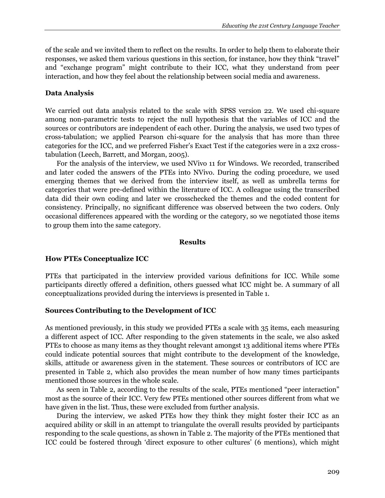of the scale and we invited them to reflect on the results. In order to help them to elaborate their responses, we asked them various questions in this section, for instance, how they think "travel" and "exchange program" might contribute to their ICC, what they understand from peer interaction, and how they feel about the relationship between social media and awareness.

#### **Data Analysis**

We carried out data analysis related to the scale with SPSS version 22. We used chi-square among non-parametric tests to reject the null hypothesis that the variables of ICC and the sources or contributors are independent of each other. During the analysis, we used two types of cross-tabulation; we applied Pearson chi-square for the analysis that has more than three categories for the ICC, and we preferred Fisher's Exact Test if the categories were in a 2x2 crosstabulation (Leech, Barrett, and Morgan, 2005).

For the analysis of the interview, we used NVivo 11 for Windows. We recorded, transcribed and later coded the answers of the PTEs into NVivo. During the coding procedure, we used emerging themes that we derived from the interview itself, as well as umbrella terms for categories that were pre-defined within the literature of ICC. A colleague using the transcribed data did their own coding and later we crosschecked the themes and the coded content for consistency. Principally, no significant difference was observed between the two coders. Only occasional differences appeared with the wording or the category, so we negotiated those items to group them into the same category.

#### **Results**

#### **How PTEs Conceptualize ICC**

PTEs that participated in the interview provided various definitions for ICC. While some participants directly offered a definition, others guessed what ICC might be. A summary of all conceptualizations provided during the interviews is presented in Table 1.

#### **Sources Contributing to the Development of ICC**

As mentioned previously, in this study we provided PTEs a scale with 35 items, each measuring a different aspect of ICC. After responding to the given statements in the scale, we also asked PTEs to choose as many items as they thought relevant amongst 13 additional items where PTEs could indicate potential sources that might contribute to the development of the knowledge, skills, attitude or awareness given in the statement. These sources or contributors of ICC are presented in Table 2, which also provides the mean number of how many times participants mentioned those sources in the whole scale.

As seen in Table 2, according to the results of the scale, PTEs mentioned "peer interaction" most as the source of their ICC. Very few PTEs mentioned other sources different from what we have given in the list. Thus, these were excluded from further analysis.

During the interview, we asked PTEs how they think they might foster their ICC as an acquired ability or skill in an attempt to triangulate the overall results provided by participants responding to the scale questions, as shown in Table 2. The majority of the PTEs mentioned that ICC could be fostered through 'direct exposure to other cultures' (6 mentions), which might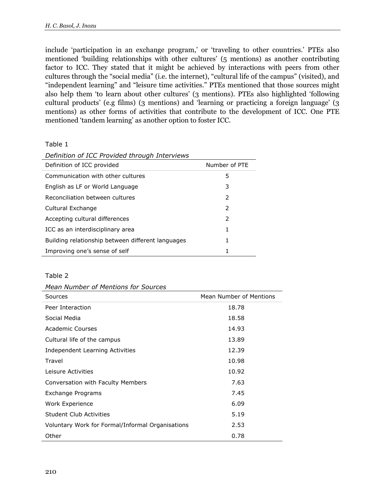include 'participation in an exchange program,' or 'traveling to other countries.' PTEs also mentioned 'building relationships with other cultures' (5 mentions) as another contributing factor to ICC. They stated that it might be achieved by interactions with peers from other cultures through the "social media" (i.e. the internet), "cultural life of the campus" (visited), and "independent learning" and "leisure time activities." PTEs mentioned that those sources might also help them 'to learn about other cultures' (3 mentions). PTEs also highlighted 'following cultural products' (e.g films) (3 mentions) and 'learning or practicing a foreign language' (3 mentions) as other forms of activities that contribute to the development of ICC. One PTE mentioned 'tandem learning' as another option to foster ICC.

Table 1

| Deminion of ICC Provided through thick views      |               |
|---------------------------------------------------|---------------|
| Definition of ICC provided                        | Number of PTE |
| Communication with other cultures                 | 5             |
| English as LF or World Language                   | 3             |
| Reconciliation between cultures                   | 2             |
| Cultural Exchange                                 | $\mathcal{P}$ |
| Accepting cultural differences                    | $\mathcal{P}$ |
| ICC as an interdisciplinary area                  | 1             |
| Building relationship between different languages | 1             |
| Improving one's sense of self                     | 1             |

#### *Definition of ICC Provided through Interviews*

#### Table 2

| Mean Number of Mentions for Sources |  |
|-------------------------------------|--|
|-------------------------------------|--|

| Sources                                          | Mean Number of Mentions |
|--------------------------------------------------|-------------------------|
| Peer Interaction                                 | 18.78                   |
| Social Media                                     | 18.58                   |
| Academic Courses                                 | 14.93                   |
| Cultural life of the campus                      | 13.89                   |
| Independent Learning Activities                  | 12.39                   |
| Travel                                           | 10.98                   |
| Leisure Activities                               | 10.92                   |
| Conversation with Faculty Members                | 7.63                    |
| Exchange Programs                                | 7.45                    |
| Work Experience                                  | 6.09                    |
| Student Club Activities                          | 5.19                    |
| Voluntary Work for Formal/Informal Organisations | 2.53                    |
| Other                                            | 0.78                    |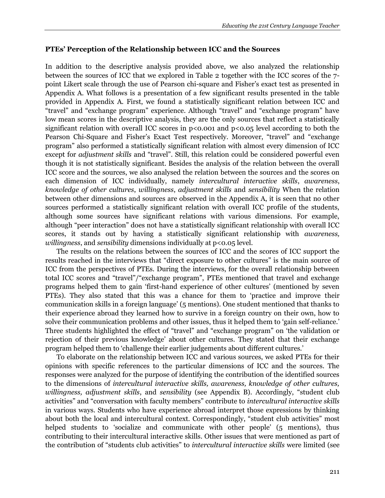#### **PTEs' Perception of the Relationship between ICC and the Sources**

In addition to the descriptive analysis provided above, we also analyzed the relationship between the sources of ICC that we explored in Table 2 together with the ICC scores of the 7 point Likert scale through the use of Pearson chi-square and Fisher's exact test as presented in Appendix A. What follows is a presentation of a few significant results presented in the table provided in Appendix A. First, we found a statistically significant relation between ICC and "travel" and "exchange program" experience. Although "travel" and "exchange program" have low mean scores in the descriptive analysis, they are the only sources that reflect a statistically significant relation with overall ICC scores in  $p<0.001$  and  $p<0.05$  level according to both the Pearson Chi-Square and Fisher's Exact Test respectively. Moreover, "travel" and "exchange program" also performed a statistically significant relation with almost every dimension of ICC except for *adjustment skills* and "travel". Still, this relation could be considered powerful even though it is not statistically significant. Besides the analysis of the relation between the overall ICC score and the sources, we also analysed the relation between the sources and the scores on each dimension of ICC individually, namely *intercultural interactive skills*, *awareness*, *knowledge of other cultures*, *willingness*, *adjustment skills* and *sensibility* When the relation between other dimensions and sources are observed in the Appendix A, it is seen that no other sources performed a statistically significant relation with overall ICC profile of the students, although some sources have significant relations with various dimensions. For example, although "peer interaction" does not have a statistically significant relationship with overall ICC scores, it stands out by having a statistically significant relationship with *awareness, willingness*, and *sensibility* dimensions individually at p<0.05 level.

The results on the relations between the sources of ICC and the scores of ICC support the results reached in the interviews that "direct exposure to other cultures" is the main source of ICC from the perspectives of PTEs. During the interviews, for the overall relationship between total ICC scores and "travel"/"exchange program", PTEs mentioned that travel and exchange programs helped them to gain 'first-hand experience of other cultures' (mentioned by seven PTEs). They also stated that this was a chance for them to 'practice and improve their communication skills in a foreign language' (5 mentions). One student mentioned that thanks to their experience abroad they learned how to survive in a foreign country on their own, how to solve their communication problems and other issues, thus it helped them to 'gain self-reliance.' Three students highlighted the effect of "travel" and "exchange program" on 'the validation or rejection of their previous knowledge' about other cultures. They stated that their exchange program helped them to 'challenge their earlier judgements about different cultures.'

To elaborate on the relationship between ICC and various sources, we asked PTEs for their opinions with specific references to the particular dimensions of ICC and the sources. The responses were analyzed for the purpose of identifying the contribution of the identified sources to the dimensions of *intercultural interactive skills, awareness, knowledge of other cultures, willingness, adjustment skills*, and *sensibility* (see Appendix B). Accordingly, "student club activities" and "conversation with faculty members" contribute to *intercultural interactive skills* in various ways. Students who have experience abroad interpret those expressions by thinking about both the local and intercultural context. Correspondingly, "student club activities" most helped students to 'socialize and communicate with other people' (5 mentions), thus contributing to their intercultural interactive skills. Other issues that were mentioned as part of the contribution of "students club activities" to *intercultural interactive skills* were limited (see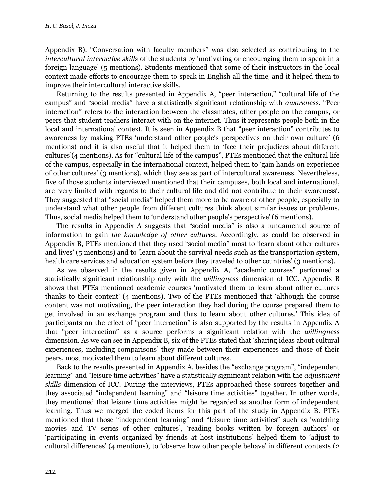Appendix B). "Conversation with faculty members" was also selected as contributing to the *intercultural interactive skills* of the students by 'motivating or encouraging them to speak in a foreign language' (5 mentions). Students mentioned that some of their instructors in the local context made efforts to encourage them to speak in English all the time, and it helped them to improve their intercultural interactive skills.

Returning to the results presented in Appendix A, "peer interaction," "cultural life of the campus" and "social media" have a statistically significant relationship with *awareness*. "Peer interaction" refers to the interaction between the classmates, other people on the campus, or peers that student teachers interact with on the internet. Thus it represents people both in the local and international context. It is seen in Appendix B that "peer interaction" contributes to awareness by making PTEs 'understand other people's perspectives on their own culture' (6 mentions) and it is also useful that it helped them to 'face their prejudices about different cultures'(4 mentions). As for "cultural life of the campus", PTEs mentioned that the cultural life of the campus, especially in the international context, helped them to 'gain hands on experience of other cultures' (3 mentions), which they see as part of intercultural awareness. Nevertheless, five of those students interviewed mentioned that their campuses, both local and international, are 'very limited with regards to their cultural life and did not contribute to their awareness'. They suggested that "social media" helped them more to be aware of other people, especially to understand what other people from different cultures think about similar issues or problems. Thus, social media helped them to 'understand other people's perspective' (6 mentions).

The results in Appendix A suggests that "social media" is also a fundamental source of information to gain *the knowledge of other cultures*. Accordingly, as could be observed in Appendix B, PTEs mentioned that they used "social media" most to 'learn about other cultures and lives' (5 mentions) and to 'learn about the survival needs such as the transportation system, health care services and education system before they traveled to other countries' (3 mentions).

As we observed in the results given in Appendix A, "academic courses" performed a statistically significant relationship only with the *willingness* dimension of ICC. Appendix B shows that PTEs mentioned academic courses 'motivated them to learn about other cultures thanks to their content' (4 mentions). Two of the PTEs mentioned that 'although the course content was not motivating, the peer interaction they had during the course prepared them to get involved in an exchange program and thus to learn about other cultures.' This idea of participants on the effect of "peer interaction" is also supported by the results in Appendix A that "peer interaction" as a source performs a significant relation with the *willingness* dimension. As we can see in Appendix B, six of the PTEs stated that 'sharing ideas about cultural experiences, including comparisons' they made between their experiences and those of their peers, most motivated them to learn about different cultures.

Back to the results presented in Appendix A, besides the "exchange program", "independent learning" and "leisure time activities" have a statistically significant relation with the *adjustment skills* dimension of ICC. During the interviews, PTEs approached these sources together and they associated "independent learning" and "leisure time activities" together. In other words, they mentioned that leisure time activities might be regarded as another form of independent learning. Thus we merged the coded items for this part of the study in Appendix B. PTEs mentioned that those "independent learning" and "leisure time activities" such as 'watching movies and TV series of other cultures', 'reading books written by foreign authors' or 'participating in events organized by friends at host institutions' helped them to 'adjust to cultural differences' (4 mentions), to 'observe how other people behave' in different contexts (2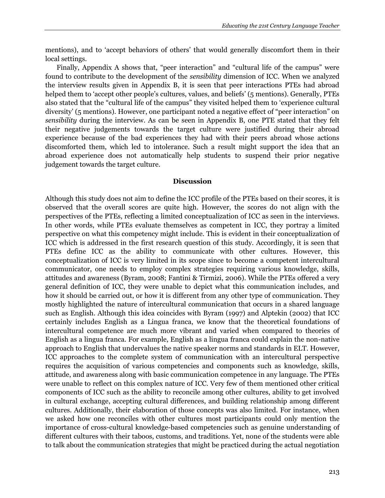mentions), and to 'accept behaviors of others' that would generally discomfort them in their local settings.

Finally, Appendix A shows that, "peer interaction" and "cultural life of the campus" were found to contribute to the development of the *sensibility* dimension of ICC. When we analyzed the interview results given in Appendix B, it is seen that peer interactions PTEs had abroad helped them to 'accept other people's cultures, values, and beliefs' (5 mentions). Generally, PTEs also stated that the "cultural life of the campus" they visited helped them to 'experience cultural diversity' (5 mentions). However, one participant noted a negative effect of "peer interaction" on *sensibility* during the interview. As can be seen in Appendix B, one PTE stated that they felt their negative judgements towards the target culture were justified during their abroad experience because of the bad experiences they had with their peers abroad whose actions discomforted them, which led to intolerance. Such a result might support the idea that an abroad experience does not automatically help students to suspend their prior negative judgement towards the target culture.

#### **Discussion**

Although this study does not aim to define the ICC profile of the PTEs based on their scores, it is observed that the overall scores are quite high. However, the scores do not align with the perspectives of the PTEs, reflecting a limited conceptualization of ICC as seen in the interviews. In other words, while PTEs evaluate themselves as competent in ICC, they portray a limited perspective on what this competency might include. This is evident in their conceptualization of ICC which is addressed in the first research question of this study. Accordingly, it is seen that PTEs define ICC as the ability to communicate with other cultures. However, this conceptualization of ICC is very limited in its scope since to become a competent intercultural communicator, one needs to employ complex strategies requiring various knowledge, skills, attitudes and awareness (Byram, 2008; Fantini & Tirmizi, 2006). While the PTEs offered a very general definition of ICC, they were unable to depict what this communication includes, and how it should be carried out, or how it is different from any other type of communication. They mostly highlighted the nature of intercultural communication that occurs in a shared language such as English. Although this idea coincides with Byram (1997) and Alptekin (2002) that ICC certainly includes English as a Lingua franca, we know that the theoretical foundations of intercultural competence are much more vibrant and varied when compared to theories of English as a lingua franca. For example, English as a lingua franca could explain the non-native approach to English that undervalues the native speaker norms and standards in ELT. However, ICC approaches to the complete system of communication with an intercultural perspective requires the acquisition of various competencies and components such as knowledge, skills, attitude, and awareness along with basic communication competence in any language. The PTEs were unable to reflect on this complex nature of ICC. Very few of them mentioned other critical components of ICC such as the ability to reconcile among other cultures, ability to get involved in cultural exchange, accepting cultural differences, and building relationship among different cultures. Additionally, their elaboration of those concepts was also limited. For instance, when we asked how one reconciles with other cultures most participants could only mention the importance of cross-cultural knowledge-based competencies such as genuine understanding of different cultures with their taboos, customs, and traditions. Yet, none of the students were able to talk about the communication strategies that might be practiced during the actual negotiation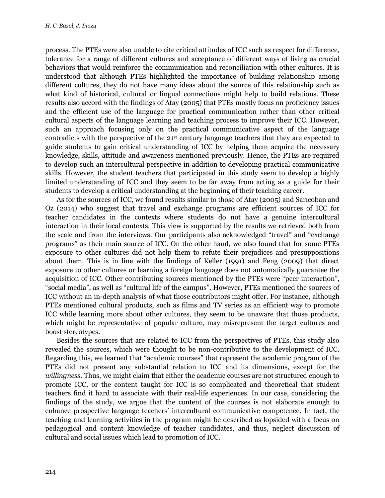process. The PTEs were also unable to cite critical attitudes of ICC such as respect for difference, tolerance for a range of different cultures and acceptance of different ways of living as crucial behaviors that would reinforce the communication and reconciliation with other cultures. It is understood that although PTEs highlighted the importance of building relationship among different cultures, they do not have many ideas about the source of this relationship such as what kind of historical, cultural or lingual connections might help to build relations. These results also accord with the findings of Atay (2005) that PTEs mostly focus on proficiency issues and the efficient use of the language for practical communication rather than other critical cultural aspects of the language learning and teaching process to improve their ICC. However, such an approach focusing only on the practical communicative aspect of the language contradicts with the perspective of the 21st century language teachers that they are expected to guide students to gain critical understanding of ICC by helping them acquire the necessary knowledge, skills, attitude and awareness mentioned previously. Hence, the PTEs are required to develop such an intercultural perspective in addition to developing practical communicative skills. However, the student teachers that participated in this study seem to develop a highly limited understanding of ICC and they seem to be far away from acting as a guide for their students to develop a critical understanding at the beginning of their teaching career.

As for the sources of ICC, we found results similar to those of Atay (2005) and Sarıcoban and Oz (2014) who suggest that travel and exchange programs are efficient sources of ICC for teacher candidates in the contexts where students do not have a genuine intercultural interaction in their local contexts. This view is supported by the results we retrieved both from the scale and from the interviews. Our participants also acknowledged "travel" and "exchange programs" as their main source of ICC. On the other hand, we also found that for some PTEs exposure to other cultures did not help them to refute their prejudices and presuppositions about them. This is in line with the findings of Keller (1991) and Feng (2009) that direct exposure to other cultures or learning a foreign language does not automatically guarantee the acquisition of ICC. Other contributing sources mentioned by the PTEs were "peer interaction", "social media", as well as "cultural life of the campus". However, PTEs mentioned the sources of ICC without an in-depth analysis of what those contributors might offer. For instance, although PTEs mentioned cultural products, such as films and TV series as an efficient way to promote ICC while learning more about other cultures, they seem to be unaware that those products, which might be representative of popular culture, may misrepresent the target cultures and boost stereotypes.

Besides the sources that are related to ICC from the perspectives of PTEs, this study also revealed the sources, which were thought to be non-contributive to the development of ICC. Regarding this, we learned that "academic courses" that represent the academic program of the PTEs did not present any substantial relation to ICC and its dimensions, except for the *willingness*. Thus, we might claim that either the academic courses are not structured enough to promote ICC, or the content taught for ICC is so complicated and theoretical that student teachers find it hard to associate with their real-life experiences. In our case, considering the findings of the study, we argue that the content of the courses is not elaborate enough to enhance prospective language teachers' intercultural communicative competence. In fact, the teaching and learning activities in the program might be described as lopsided with a focus on pedagogical and content knowledge of teacher candidates, and thus, neglect discussion of cultural and social issues which lead to promotion of ICC.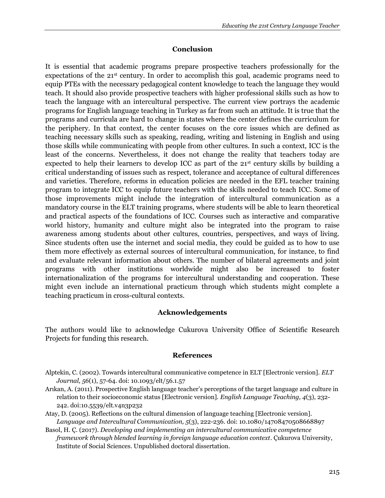#### **Conclusion**

It is essential that academic programs prepare prospective teachers professionally for the expectations of the 21<sup>st</sup> century. In order to accomplish this goal, academic programs need to equip PTEs with the necessary pedagogical content knowledge to teach the language they would teach. It should also provide prospective teachers with higher professional skills such as how to teach the language with an intercultural perspective. The current view portrays the academic programs for English language teaching in Turkey as far from such an attitude. It is true that the programs and curricula are hard to change in states where the center defines the curriculum for the periphery. In that context, the center focuses on the core issues which are defined as teaching necessary skills such as speaking, reading, writing and listening in English and using those skills while communicating with people from other cultures. In such a context, ICC is the least of the concerns. Nevertheless, it does not change the reality that teachers today are expected to help their learners to develop ICC as part of the  $21<sup>st</sup>$  century skills by building a critical understanding of issues such as respect, tolerance and acceptance of cultural differences and varieties. Therefore, reforms in education policies are needed in the EFL teacher training program to integrate ICC to equip future teachers with the skills needed to teach ICC. Some of those improvements might include the integration of intercultural communication as a mandatory course in the ELT training programs, where students will be able to learn theoretical and practical aspects of the foundations of ICC. Courses such as interactive and comparative world history, humanity and culture might also be integrated into the program to raise awareness among students about other cultures, countries, perspectives, and ways of living. Since students often use the internet and social media, they could be guided as to how to use them more effectively as external sources of intercultural communication, for instance, to find and evaluate relevant information about others. The number of bilateral agreements and joint programs with other institutions worldwide might also be increased to foster internationalization of the programs for intercultural understanding and cooperation. These might even include an international practicum through which students might complete a teaching practicum in cross-cultural contexts.

#### **Acknowledgements**

The authors would like to acknowledge Cukurova University Office of Scientific Research Projects for funding this research.

#### **References**

- Alptekin, C. (2002). Towards intercultural communicative competence in ELT [Electronic version]. *ELT Journal, 56*(1), 57-64. doi: 10.1093/elt/56.1.57
- Arıkan, A. (2011). Prospective English language teacher's perceptions of the target language and culture in relation to their socioeconomic status [Electronic version]. *English Language Teaching, 4*(3), 232- 242. doi:10.5539/elt.v4n3p232
- Atay, D. (2005). Reflections on the cultural dimension of language teaching [Electronic version]. *Language and Intercultural Communication, 5*(3), 222-236. doi: 10.1080/14708470508668897
- Basol, H. Ç. (2017). *Developing and implementing an intercultural communicative competence framework through blended learning in foreign language education context*. Çukurova University, Institute of Social Sciences. Unpublished doctoral dissertation.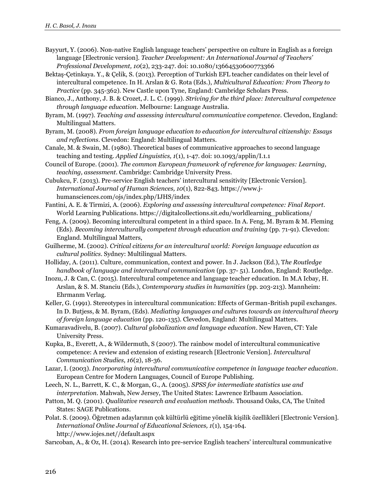- Bayyurt, Y. (2006). Non-native English language teachers' perspective on culture in English as a foreign language [Electronic version]. *Teacher Development: An International Journal of Teachers' Professional Development, 10*(2), 233-247. doi: 10.1080/13664530600773366
- Bektaş-Çetinkaya. Y., & Çelik, S. (2013). Perception of Turkish EFL teacher candidates on their level of intercultural competence. In H. Arslan & G. Rota (Eds.), *Multicultural Education: From Theory to Practice* (pp. 345-362). New Castle upon Tyne, England: Cambridge Scholars Press.
- Bianco, J., Anthony, J. B. & Crozet, J. L. C. (1999). *Striving for the third place: Intercultural competence through language education*. Melbourne: Language Australia.
- Byram, M. (1997). *Teaching and assessing intercultural communicative competence.* Clevedon, England: Multilingual Matters.
- Byram, M. (2008). *From foreign language education to education for intercultural citizenship: Essays and reflections*. Clevedon: England: Multilingual Matters.
- Canale, M. & Swain, M. (1980). Theoretical bases of communicative approaches to second language teaching and testing. *Applied Linguistics, 1*(1), 1-47. doi: 10.1093/applin/I.1.1
- Council of Europe. (2001). *The common European framework of reference for languages: Learning, teaching, assessment*. Cambridge: Cambridge University Press.
- Cubukcu, F. (2013). Pre-service English teachers' intercultural sensitivity [Electronic Version]. *International Journal of Human Sciences, 10*(1), 822-843. https://www.jhumansciences.com/ojs/index.php/IJHS/index
- Fantini, A. E. & Tirmizi, A. (2006). *Exploring and assessing intercultural competence: Final Report*. World Learning Publications. https://digitalcollections.sit.edu/worldlearning\_publications/
- Feng, A. (2009). Becoming intercultural competent in a third space. In A. Feng, M. Byram & M. Fleming (Eds). *Becoming interculturally competent through education and training* (pp. 71-91). Clevedon: England. Multilingual Matters,
- Guilherme, M. (2002). *Critical citizens for an intercultural world: Foreign language education as cultural politics*. Sydney: Multilingual Matters.
- Holliday, A. (2011). Culture, communication, context and power. In J. Jackson (Ed.), T*he Routledge handbook of language and intercultural communication* (pp. 37- 51). London, England: Routledge.
- Inozu, J. & Can, C. (2015). Intercultural competence and language teacher education. In M.A Icbay, H. Arslan, & S. M. Stanciu (Eds.), *Contemporary studies in humanities* (pp. 203-213). Mannheim: Ehrmanm Verlag.
- Keller, G. (1991). Stereotypes in intercultural communication: Effects of German-British pupil exchanges. In D. Butjess, & M. Byram, (Eds). *Mediating languages and cultures towards an intercultural theory of foreign language education* (pp. 120-135). Clevedon, England: Multilingual Matters.
- Kumaravadivelu, B. (2007). *Cultural globalization and language education*. New Haven, CT: Yale University Press.
- Kupka, B., Everett, A., & Wildermuth, S (2007). The rainbow model of intercultural communicative competence: A review and extension of existing research [Electronic Version]. *Intercultural Communication Studies, 16*(2), 18-36.
- Lazar, I. (2003). *Incorporating intercultural communicative competence in language teacher education*. European Centre for Modern Languages, Council of Europe Publishing.
- Leech, N. L., Barrett, K. C., & Morgan, G., A. (2005). *SPSS for intermediate statistics use and interpretation*. Mahwah, New Jersey, The United States: Lawrence Erlbaum Association.
- Patton, M. Q. (2001). *Qualitative research and evaluation methods*. Thousand Oaks, CA, The United States: SAGE Publications.
- Polat. S. (2009). Öğretmen adaylarının çok kültürlü eğitime yönelik kişilik özellikleri [Electronic Version]. *International Online Journal of Educational Sciences, 1*(1), 154-164. http://www.iojes.net//default.aspx
- Sarıcoban, A., & Oz, H. (2014). Research into pre-service English teachers' intercultural communicative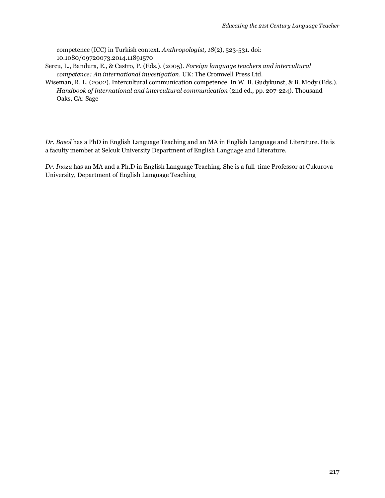competence (ICC) in Turkish context. *Anthropologist, 18*(2), 523-531. doi: 10.1080/09720073.2014.11891570

- Sercu, L., Bandura, E., & Castro, P. (Eds.). (2005). *Foreign language teachers and intercultural competence: An international investigation*. UK: The Cromwell Press Ltd.
- Wiseman, R. L. (2002). Intercultural communication competence. In W. B. Gudykunst, & B. Mody (Eds.). *Handbook of international and intercultural communication* (2nd ed., pp. 207-224). Thousand Oaks, CA: Sage

*Dr. Basol* has a PhD in English Language Teaching and an MA in English Language and Literature. He is a faculty member at Selcuk University Department of English Language and Literature.

*Dr. Inozu* has an MA and a Ph.D in English Language Teaching. She is a full-time Professor at Cukurova University, Department of English Language Teaching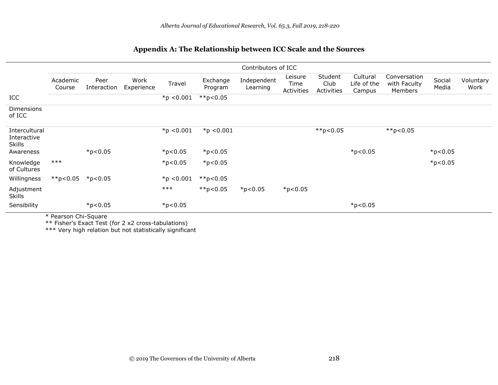|                                               | Contributors of ICC |                     |                    |              |                     |                         |                               |                               |                                   |                                         |                 |                   |
|-----------------------------------------------|---------------------|---------------------|--------------------|--------------|---------------------|-------------------------|-------------------------------|-------------------------------|-----------------------------------|-----------------------------------------|-----------------|-------------------|
|                                               | Academic<br>Course  | Peer<br>Interaction | Work<br>Experience | Travel       | Exchange<br>Program | Independent<br>Learning | Leisure<br>Time<br>Activities | Student<br>Club<br>Activities | Cultural<br>Life of the<br>Campus | Conversation<br>with Faculty<br>Members | Social<br>Media | Voluntary<br>Work |
| ICC                                           |                     |                     |                    | $*p < 0.001$ | $*$ $p$ <0.05       |                         |                               |                               |                                   |                                         |                 |                   |
| <b>Dimensions</b><br>of ICC                   |                     |                     |                    |              |                     |                         |                               |                               |                                   |                                         |                 |                   |
| Intercultural<br>Interactive<br><b>Skills</b> |                     |                     |                    | $*p < 0.001$ | $*$ p <0.001        |                         |                               | $*$ $p$ <0.05                 |                                   | $*$ $p$ <0.05                           |                 |                   |
| Awareness                                     |                     | $*p<0.05$           |                    | $*p<0.05$    | $*p<0.05$           |                         |                               |                               | $*p<0.05$                         |                                         | $*p<0.05$       |                   |
| Knowledge<br>of Cultures                      | $***$               |                     |                    | $*p<0.05$    | $*p<0.05$           |                         |                               |                               |                                   |                                         | $*p<0.05$       |                   |
| Willingness                                   | $*$ $p$ <0.05       | $*$ p<0.05          |                    | $*p < 0.001$ | $*$ $p$ <0.05       |                         |                               |                               |                                   |                                         |                 |                   |
| Adjustment<br><b>Skills</b>                   |                     |                     |                    | $***$        | $*$ $p$ <0.05       | $*p<0.05$               | $*p<0.05$                     |                               |                                   |                                         |                 |                   |
| Sensibility                                   |                     | $*p<0.05$           |                    | $*p<0.05$    |                     |                         |                               |                               | $*p<0.05$                         |                                         |                 |                   |

### **Appendix A: The Relationship between ICC Scale and the Sources**

\* Pearson Chi-Square

\*\* Fisher's Exact Test (for 2 x2 cross-tabulations)

\*\*\* Very high relation but not statistically significant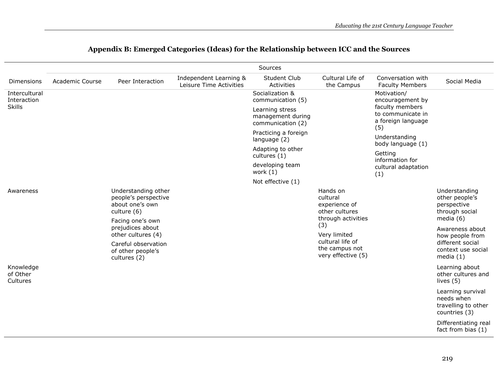|                                               | Sources                |                                                                               |                                                   |                                                           |                                                                                                                                                                  |                                                                   |                                                                         |  |
|-----------------------------------------------|------------------------|-------------------------------------------------------------------------------|---------------------------------------------------|-----------------------------------------------------------|------------------------------------------------------------------------------------------------------------------------------------------------------------------|-------------------------------------------------------------------|-------------------------------------------------------------------------|--|
| Dimensions                                    | <b>Academic Course</b> | Peer Interaction                                                              | Independent Learning &<br>Leisure Time Activities | Student Club<br>Activities                                | Cultural Life of<br>the Campus                                                                                                                                   | Conversation with<br><b>Faculty Members</b>                       | Social Media                                                            |  |
| Intercultural<br>Interaction<br><b>Skills</b> |                        |                                                                               |                                                   | Socialization &<br>communication (5)                      |                                                                                                                                                                  | Motivation/<br>encouragement by                                   |                                                                         |  |
|                                               |                        |                                                                               |                                                   | Learning stress<br>management during<br>communication (2) |                                                                                                                                                                  | faculty members<br>to communicate in<br>a foreign language<br>(5) |                                                                         |  |
|                                               |                        |                                                                               |                                                   | Practicing a foreign<br>language (2)                      |                                                                                                                                                                  | Understanding<br>body language (1)                                |                                                                         |  |
|                                               |                        |                                                                               |                                                   | Adapting to other<br>cultures (1)                         |                                                                                                                                                                  | Getting<br>information for                                        |                                                                         |  |
|                                               |                        |                                                                               |                                                   | developing team<br>work $(1)$                             |                                                                                                                                                                  | cultural adaptation<br>(1)                                        |                                                                         |  |
|                                               |                        |                                                                               |                                                   | Not effective (1)                                         |                                                                                                                                                                  |                                                                   |                                                                         |  |
| Awareness                                     |                        | Understanding other<br>people's perspective<br>about one's own<br>culture (6) |                                                   |                                                           | Hands on<br>cultural<br>experience of<br>other cultures<br>through activities<br>(3)<br>Very limited<br>cultural life of<br>the campus not<br>very effective (5) |                                                                   | Understanding<br>other people's<br>perspective<br>through social        |  |
|                                               |                        | Facing one's own<br>prejudices about<br>other cultures (4)                    |                                                   |                                                           |                                                                                                                                                                  |                                                                   | media $(6)$<br>Awareness about<br>how people from                       |  |
|                                               |                        | Careful observation<br>of other people's<br>cultures (2)                      |                                                   |                                                           |                                                                                                                                                                  |                                                                   | different social<br>context use social<br>media $(1)$                   |  |
| Knowledge<br>of Other<br>Cultures             |                        |                                                                               |                                                   |                                                           |                                                                                                                                                                  |                                                                   | Learning about<br>other cultures and<br>lives (5)                       |  |
|                                               |                        |                                                                               |                                                   |                                                           |                                                                                                                                                                  |                                                                   | Learning survival<br>needs when<br>travelling to other<br>countries (3) |  |
|                                               |                        |                                                                               |                                                   |                                                           |                                                                                                                                                                  |                                                                   | Differentiating real<br>fact from bias (1)                              |  |

## **Appendix B: Emerged Categories (Ideas) for the Relationship between ICC and the Sources**